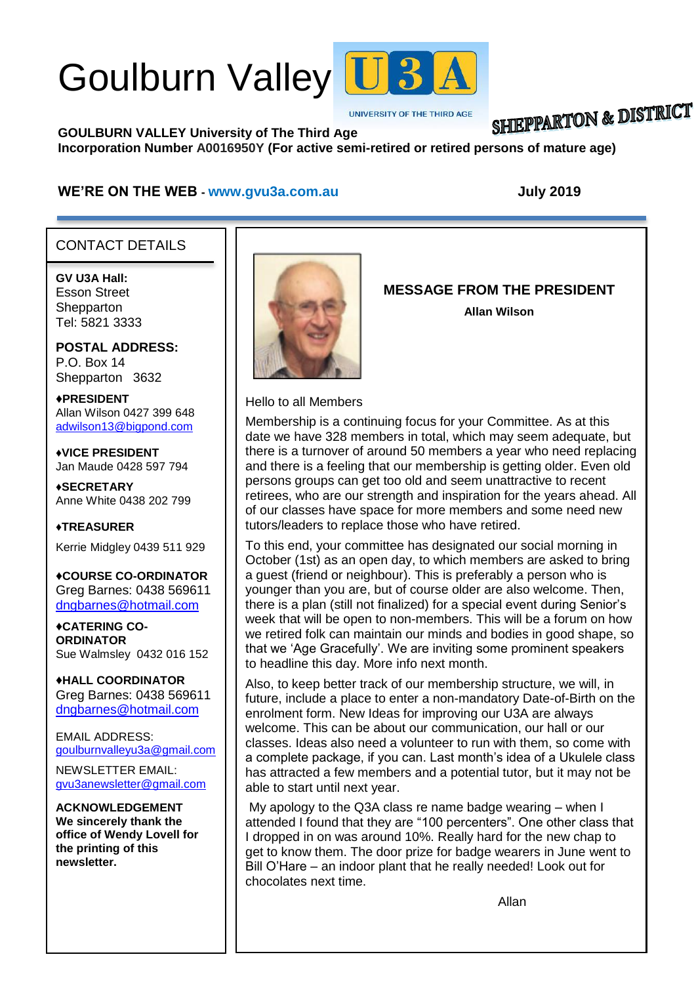# Goulburn Valley U3



**UNIVERSITY OF THE THIRD AGE** 

# **SHIEPPARTON & DISTRICT**

**GOULBURN VALLEY University of The Third Age Incorporation Number A0016950Y (For active semi-retired or retired persons of mature age)**

#### **WE'RE ON THE WEB - [www.gvu3a.com.au](http://www.gvu3a.com.au/) July 2019**

### CONTACT DETAILS

**GV U3A Hall:** Esson Street **Shepparton** Tel: 5821 3333

**POSTAL ADDRESS:** P.O. Box 14 Shepparton 3632

♦**PRESIDENT** Allan Wilson 0427 399 648 [adwilson13@bigpond.com](mailto:adwilson13@bigpond.com)

♦**VICE PRESIDENT** Jan Maude 0428 597 794

**♦SECRETARY** Anne White 0438 202 799

**♦TREASURER** Kerrie Midgley 0439 511 929

♦**COURSE CO-ORDINATOR** Greg Barnes: 0438 569611 [dngbarnes@hotmail.com](mailto:dngbarnes@hotmail.com)

♦**CATERING CO-ORDINATOR** Sue Walmsley 0432 016 152

♦**HALL COORDINATOR** Greg Barnes: 0438 569611 [dngbarnes@hotmail.com](mailto:dngbarnes@hotmail.com)

EMAIL ADDRESS: [goulburnvalleyu3a@gmail.com](mailto:goulburnvalleyu3a@gmail.com)

NEWSLETTER EMAIL: [gvu3anewsletter@gmail.com](mailto:gvu3anewsletter@gmail.com)

**ACKNOWLEDGEMENT We sincerely thank the office of Wendy Lovell for the printing of this newsletter.**



**MESSAGE FROM THE PRESIDENT**

**Allan Wilson**

Hello to all Members

Membership is a continuing focus for your Committee. As at this date we have 328 members in total, which may seem adequate, but there is a turnover of around 50 members a year who need replacing and there is a feeling that our membership is getting older. Even old persons groups can get too old and seem unattractive to recent retirees, who are our strength and inspiration for the years ahead. All of our classes have space for more members and some need new tutors/leaders to replace those who have retired.

To this end, your committee has designated our social morning in October (1st) as an open day, to which members are asked to bring a guest (friend or neighbour). This is preferably a person who is younger than you are, but of course older are also welcome. Then, there is a plan (still not finalized) for a special event during Senior's week that will be open to non-members. This will be a forum on how we retired folk can maintain our minds and bodies in good shape, so that we 'Age Gracefully'. We are inviting some prominent speakers to headline this day. More info next month.

Also, to keep better track of our membership structure, we will, in future, include a place to enter a non-mandatory Date-of-Birth on the enrolment form. New Ideas for improving our U3A are always welcome. This can be about our communication, our hall or our classes. Ideas also need a volunteer to run with them, so come with a complete package, if you can. Last month's idea of a Ukulele class has attracted a few members and a potential tutor, but it may not be able to start until next year.

My apology to the Q3A class re name badge wearing – when I attended I found that they are "100 percenters". One other class that I dropped in on was around 10%. Really hard for the new chap to get to know them. The door prize for badge wearers in June went to Bill O'Hare – an indoor plant that he really needed! Look out for chocolates next time.

Allan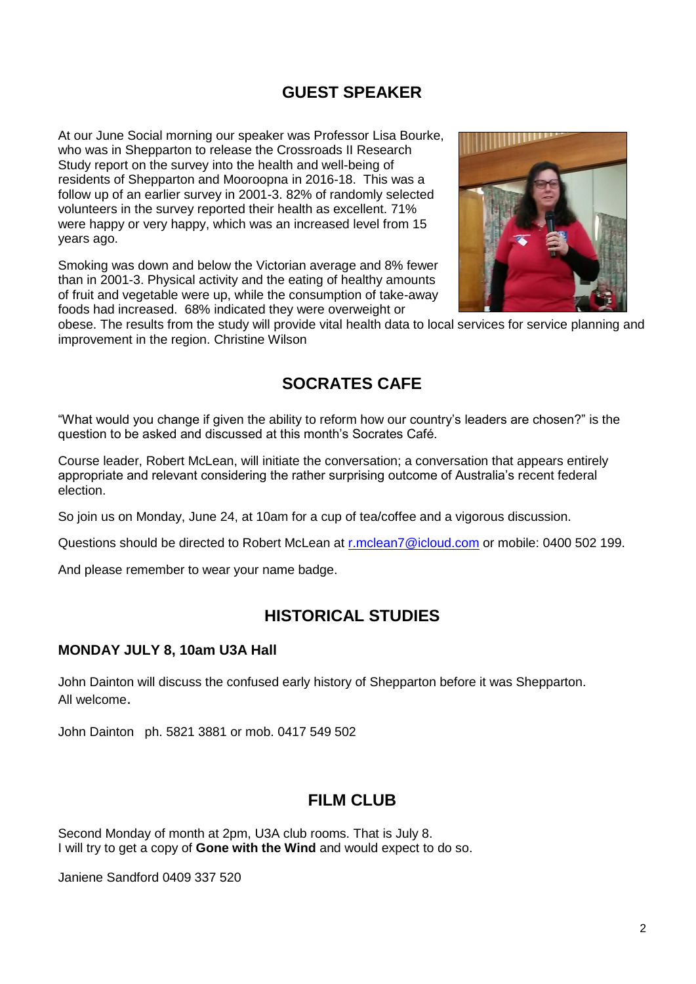# **GUEST SPEAKER**

At our June Social morning our speaker was Professor Lisa Bourke, who was in Shepparton to release the Crossroads II Research Study report on the survey into the health and well-being of residents of Shepparton and Mooroopna in 2016-18. This was a follow up of an earlier survey in 2001-3. 82% of randomly selected volunteers in the survey reported their health as excellent. 71% were happy or very happy, which was an increased level from 15 years ago.

Smoking was down and below the Victorian average and 8% fewer than in 2001-3. Physical activity and the eating of healthy amounts of fruit and vegetable were up, while the consumption of take-away foods had increased. 68% indicated they were overweight or



obese. The results from the study will provide vital health data to local services for service planning and improvement in the region. Christine Wilson

# **SOCRATES CAFE**

"What would you change if given the ability to reform how our country's leaders are chosen?" is the question to be asked and discussed at this month's Socrates Café.

Course leader, Robert McLean, will initiate the conversation; a conversation that appears entirely appropriate and relevant considering the rather surprising outcome of Australia's recent federal election.

So join us on Monday, June 24, at 10am for a cup of tea/coffee and a vigorous discussion.

Questions should be directed to Robert McLean at [r.mclean7@icloud.com](mailto:r.mclean7@icloud.com) or mobile: 0400 502 199.

And please remember to wear your name badge.

# **HISTORICAL STUDIES**

#### **MONDAY JULY 8, 10am U3A Hall**

John Dainton will discuss the confused early history of Shepparton before it was Shepparton. All welcome.

John Dainton ph. 5821 3881 or mob. 0417 549 502

#### **FILM CLUB**

Second Monday of month at 2pm, U3A club rooms. That is July 8. I will try to get a copy of **Gone with the Wind** and would expect to do so.

Janiene Sandford 0409 337 520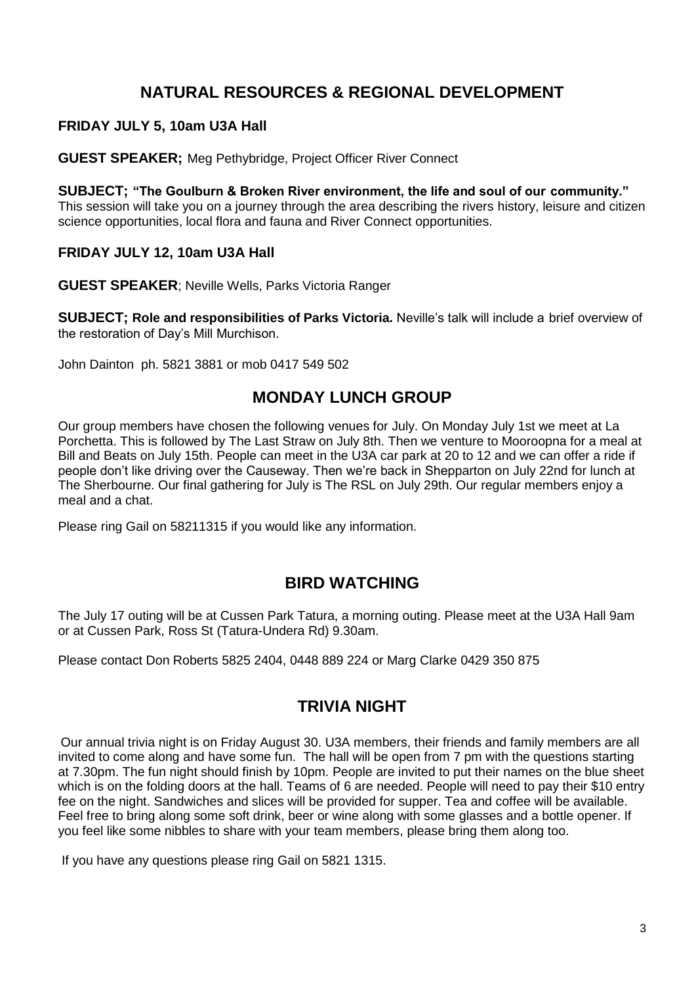# **NATURAL RESOURCES & REGIONAL DEVELOPMENT**

#### **FRIDAY JULY 5, 10am U3A Hall**

**GUEST SPEAKER;** Meg Pethybridge, Project Officer River Connect

#### **SUBJECT; "The Goulburn & Broken River environment, the life and soul of our community."**

This session will take you on a journey through the area describing the rivers history, leisure and citizen science opportunities, local flora and fauna and River Connect opportunities.

#### **FRIDAY JULY 12, 10am U3A Hall**

**GUEST SPEAKER**; Neville Wells, Parks Victoria Ranger

**SUBJECT; Role and responsibilities of Parks Victoria.** Neville's talk will include a brief overview of the restoration of Day's Mill Murchison.

John Dainton ph. 5821 3881 or mob 0417 549 502

# **MONDAY LUNCH GROUP**

Our group members have chosen the following venues for July. On Monday July 1st we meet at La Porchetta. This is followed by The Last Straw on July 8th. Then we venture to Mooroopna for a meal at Bill and Beats on July 15th. People can meet in the U3A car park at 20 to 12 and we can offer a ride if people don't like driving over the Causeway. Then we're back in Shepparton on July 22nd for lunch at The Sherbourne. Our final gathering for July is The RSL on July 29th. Our regular members enjoy a meal and a chat.

Please ring Gail on 58211315 if you would like any information.

# **BIRD WATCHING**

The July 17 outing will be at Cussen Park Tatura, a morning outing. Please meet at the U3A Hall 9am or at Cussen Park, Ross St (Tatura-Undera Rd) 9.30am.

Please contact Don Roberts 5825 2404, 0448 889 224 or Marg Clarke 0429 350 875

# **TRIVIA NIGHT**

Our annual trivia night is on Friday August 30. U3A members, their friends and family members are all invited to come along and have some fun. The hall will be open from 7 pm with the questions starting at 7.30pm. The fun night should finish by 10pm. People are invited to put their names on the blue sheet which is on the folding doors at the hall. Teams of 6 are needed. People will need to pay their \$10 entry fee on the night. Sandwiches and slices will be provided for supper. Tea and coffee will be available. Feel free to bring along some soft drink, beer or wine along with some glasses and a bottle opener. If you feel like some nibbles to share with your team members, please bring them along too.

If you have any questions please ring Gail on 5821 1315.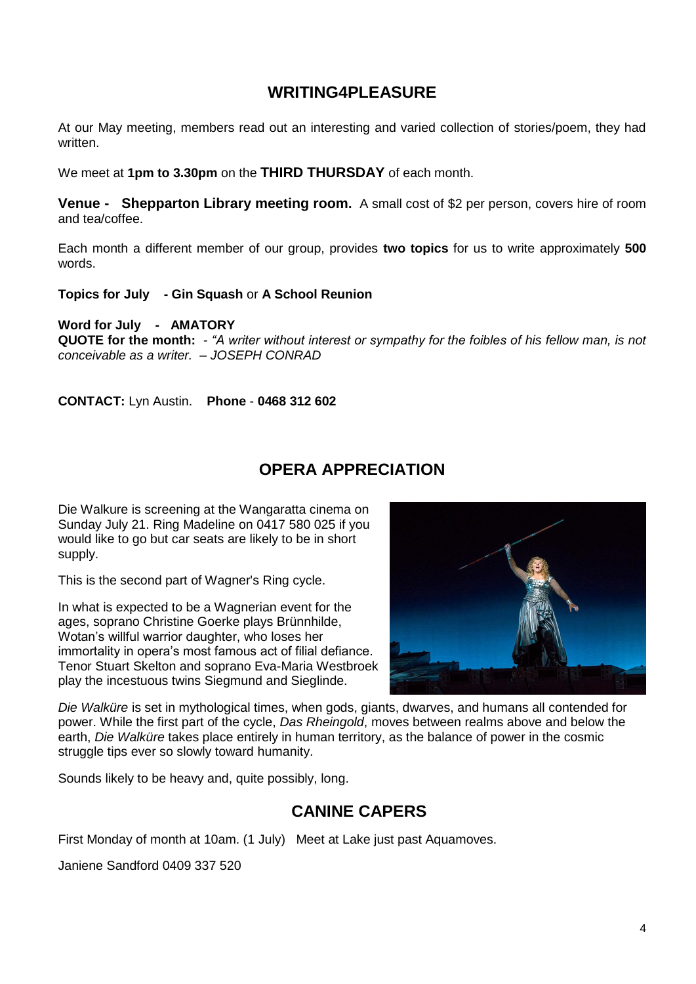# **WRITING4PLEASURE**

At our May meeting, members read out an interesting and varied collection of stories/poem, they had written.

We meet at **1pm to 3.30pm** on the **THIRD THURSDAY** of each month.

**Venue - Shepparton Library meeting room.** A small cost of \$2 per person, covers hire of room and tea/coffee.

Each month a different member of our group, provides **two topics** for us to write approximately **500** words.

**Topics for July - Gin Squash** or **A School Reunion**

**Word for July - AMATORY**

**QUOTE for the month:** *- "A writer without interest or sympathy for the foibles of his fellow man, is not conceivable as a writer. – JOSEPH CONRAD*

**CONTACT:** Lyn Austin. **Phone** - **0468 312 602**

# **OPERA APPRECIATION**

Die Walkure is screening at the Wangaratta cinema on Sunday July 21. Ring Madeline on 0417 580 025 if you would like to go but car seats are likely to be in short supply.

This is the second part of Wagner's Ring cycle.

In what is expected to be a Wagnerian event for the ages, soprano Christine Goerke plays Brünnhilde, Wotan's willful warrior daughter, who loses her immortality in opera's most famous act of filial defiance. Tenor Stuart Skelton and soprano Eva-Maria Westbroek play the incestuous twins Siegmund and Sieglinde.



*Die Walküre* is set in mythological times, when gods, giants, dwarves, and humans all contended for power. While the first part of the cycle, *Das Rheingold*, moves between realms above and below the earth, *Die Walküre* takes place entirely in human territory, as the balance of power in the cosmic struggle tips ever so slowly toward humanity.

Sounds likely to be heavy and, quite possibly, long.

# **CANINE CAPERS**

First Monday of month at 10am. (1 July) Meet at Lake just past Aquamoves.

Janiene Sandford 0409 337 520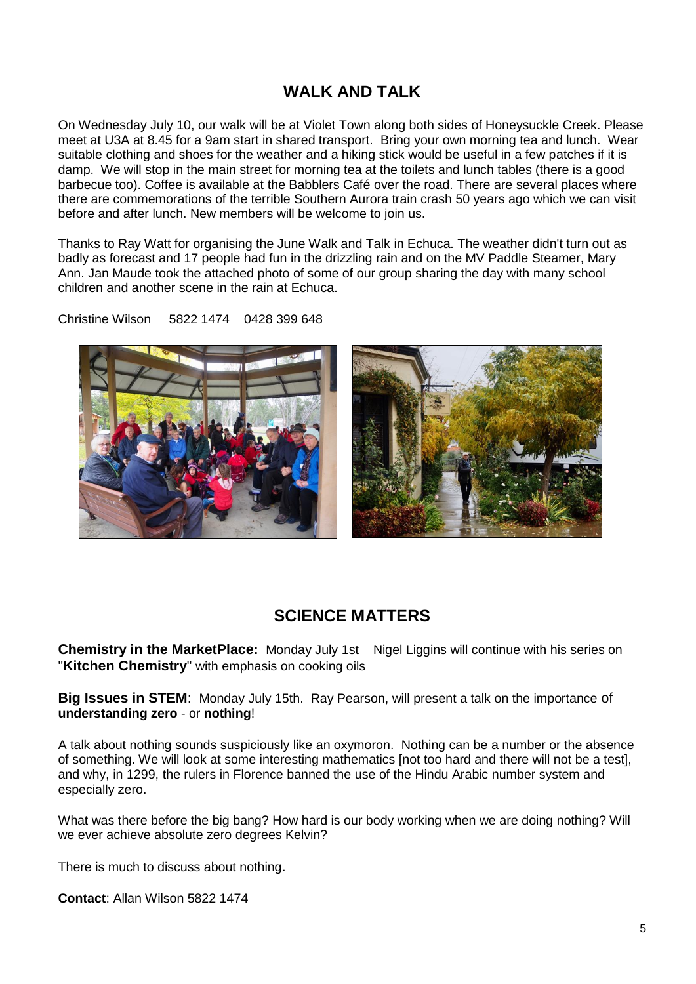# **WALK AND TALK**

On Wednesday July 10, our walk will be at Violet Town along both sides of Honeysuckle Creek. Please meet at U3A at 8.45 for a 9am start in shared transport. Bring your own morning tea and lunch. Wear suitable clothing and shoes for the weather and a hiking stick would be useful in a few patches if it is damp. We will stop in the main street for morning tea at the toilets and lunch tables (there is a good barbecue too). Coffee is available at the Babblers Café over the road. There are several places where there are commemorations of the terrible Southern Aurora train crash 50 years ago which we can visit before and after lunch. New members will be welcome to join us.

Thanks to Ray Watt for organising the June Walk and Talk in Echuca. The weather didn't turn out as badly as forecast and 17 people had fun in the drizzling rain and on the MV Paddle Steamer, Mary Ann. Jan Maude took the attached photo of some of our group sharing the day with many school children and another scene in the rain at Echuca.

Christine Wilson 5822 1474 0428 399 648



# **SCIENCE MATTERS**

**Chemistry in the MarketPlace:** Monday July 1st Nigel Liggins will continue with his series on "**Kitchen Chemistry**" with emphasis on cooking oils

**Big Issues in STEM**: Monday July 15th. Ray Pearson, will present a talk on the importance of **understanding zero** - or **nothing**!

A talk about nothing sounds suspiciously like an oxymoron. Nothing can be a number or the absence of something. We will look at some interesting mathematics [not too hard and there will not be a test], and why, in 1299, the rulers in Florence banned the use of the Hindu Arabic number system and especially zero.

What was there before the big bang? How hard is our body working when we are doing nothing? Will we ever achieve absolute zero degrees Kelvin?

There is much to discuss about nothing.

**Contact**: Allan Wilson 5822 1474